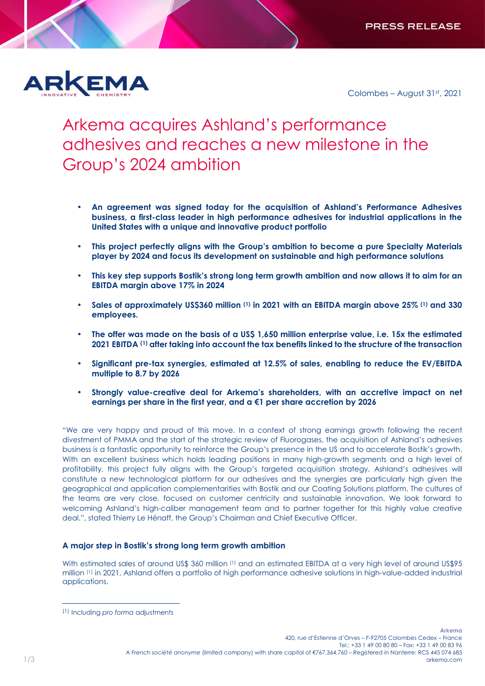

Colombes – August 31st, 2021

# Arkema acquires Ashland's performance adhesives and reaches a new milestone in the Group's 2024 ambition

- **An agreement was signed today for the acquisition of Ashland's Performance Adhesives business, a first-class leader in high performance adhesives for industrial applications in the United States with a unique and innovative product portfolio**
- **This project perfectly aligns with the Group's ambition to become a pure Specialty Materials player by 2024 and focus its development on sustainable and high performance solutions**
- **This key step supports Bostik's strong long term growth ambition and now allows it to aim for an EBITDA margin above 17% in 2024**
- **Sales of approximately US\$360 million (1) in 2021 with an EBITDA margin above 25% (1) and 330 employees.**
- **The offer was made on the basis of a US\$ 1,650 million enterprise value, i.e. 15x the estimated 2021 EBITDA (1) after taking into account the tax benefits linked to the structure of the transaction**
- **Significant pre-tax synergies, estimated at 12.5% of sales, enabling to reduce the EV/EBITDA multiple to 8.7 by 2026**
- **Strongly value-creative deal for Arkema's shareholders, with an accretive impact on net earnings per share in the first year, and a €1 per share accretion by 2026**

"We are very happy and proud of this move. In a context of strong earnings growth following the recent divestment of PMMA and the start of the strategic review of Fluorogases, the acquisition of Ashland's adhesives business is a fantastic opportunity to reinforce the Group's presence in the US and to accelerate Bostik's growth. With an excellent business which holds leading positions in many high-growth segments and a high level of profitability, this project fully aligns with the Group's targeted acquisition strategy. Ashland's adhesives will constitute a new technological platform for our adhesives and the synergies are particularly high given the geographical and application complementarities with Bostik and our Coating Solutions platform. The cultures of the teams are very close, focused on customer centricity and sustainable innovation. We look forward to welcoming Ashland's high-caliber management team and to partner together for this highly value creative deal.", stated Thierry Le Hénaff, the Group's Chairman and Chief Executive Officer.

## **A major step in Bostik's strong long term growth ambition**

With estimated sales of around US\$ 360 million (1) and an estimated EBITDA at a very high level of around US\$95 million (1) in 2021, Ashland offers a portfolio of high performance adhesive solutions in high-value-added industrial applications.

 $\overline{a}$ 

<sup>(1)</sup> Including *pro forma* adjustments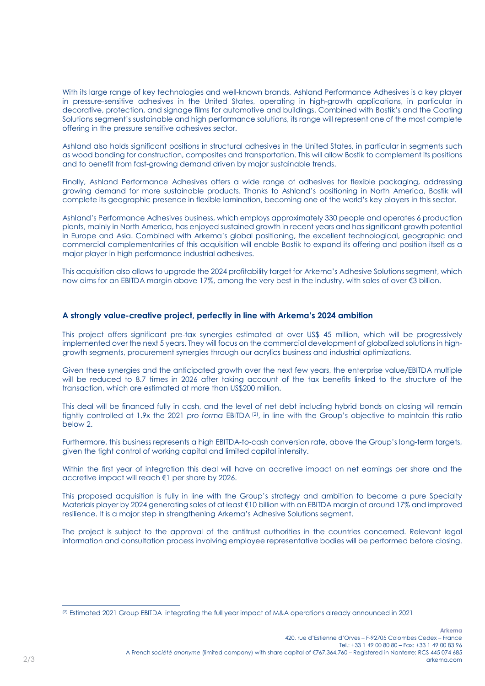With its large range of key technologies and well-known brands, Ashland Performance Adhesives is a key player in pressure-sensitive adhesives in the United States, operating in high-growth applications, in particular in decorative, protection, and signage films for automotive and buildings. Combined with Bostik's and the Coating Solutions segment's sustainable and high performance solutions, its range will represent one of the most complete offering in the pressure sensitive adhesives sector.

Ashland also holds significant positions in structural adhesives in the United States, in particular in segments such as wood bonding for construction, composites and transportation. This will allow Bostik to complement its positions and to benefit from fast-growing demand driven by major sustainable trends.

Finally, Ashland Performance Adhesives offers a wide range of adhesives for flexible packaging, addressing growing demand for more sustainable products. Thanks to Ashland's positioning in North America, Bostik will complete its geographic presence in flexible lamination, becoming one of the world's key players in this sector.

Ashland's Performance Adhesives business, which employs approximately 330 people and operates 6 production plants, mainly in North America, has enjoyed sustained growth in recent years and has significant growth potential in Europe and Asia. Combined with Arkema's global positioning, the excellent technological, geographic and commercial complementarities of this acquisition will enable Bostik to expand its offering and position itself as a major player in high performance industrial adhesives.

This acquisition also allows to upgrade the 2024 profitability target for Arkema's Adhesive Solutions segment, which now aims for an EBITDA margin above 17%, among the very best in the industry, with sales of over €3 billion.

### **A strongly value-creative project, perfectly in line with Arkema's 2024 ambition**

This project offers significant pre-tax synergies estimated at over US\$ 45 million, which will be progressively implemented over the next 5 years. They will focus on the commercial development of globalized solutions in highgrowth segments, procurement synergies through our acrylics business and industrial optimizations.

Given these synergies and the anticipated growth over the next few years, the enterprise value/EBITDA multiple will be reduced to 8.7 times in 2026 after taking account of the tax benefits linked to the structure of the transaction, which are estimated at more than US\$200 million.

This deal will be financed fully in cash, and the level of net debt including hybrid bonds on closing will remain tightly controlled at 1.9x the 2021 *pro forma* EBITDA (2), in line with the Group's objective to maintain this ratio below 2.

Furthermore, this business represents a high EBITDA-to-cash conversion rate, above the Group's long-term targets, given the tight control of working capital and limited capital intensity.

Within the first year of integration this deal will have an accretive impact on net earnings per share and the accretive impact will reach €1 per share by 2026.

This proposed acquisition is fully in line with the Group's strategy and ambition to become a pure Specialty Materials player by 2024 generating sales of at least €10 billion with an EBITDA margin of around 17% and improved resilience. It is a major step in strengthening Arkema's Adhesive Solutions segment.

The project is subject to the approval of the antitrust authorities in the countries concerned. Relevant legal information and consultation process involving employee representative bodies will be performed before closing.

 $\overline{a}$ 

<sup>(2)</sup> Estimated 2021 Group EBITDA integrating the full year impact of M&A operations already announced in 2021